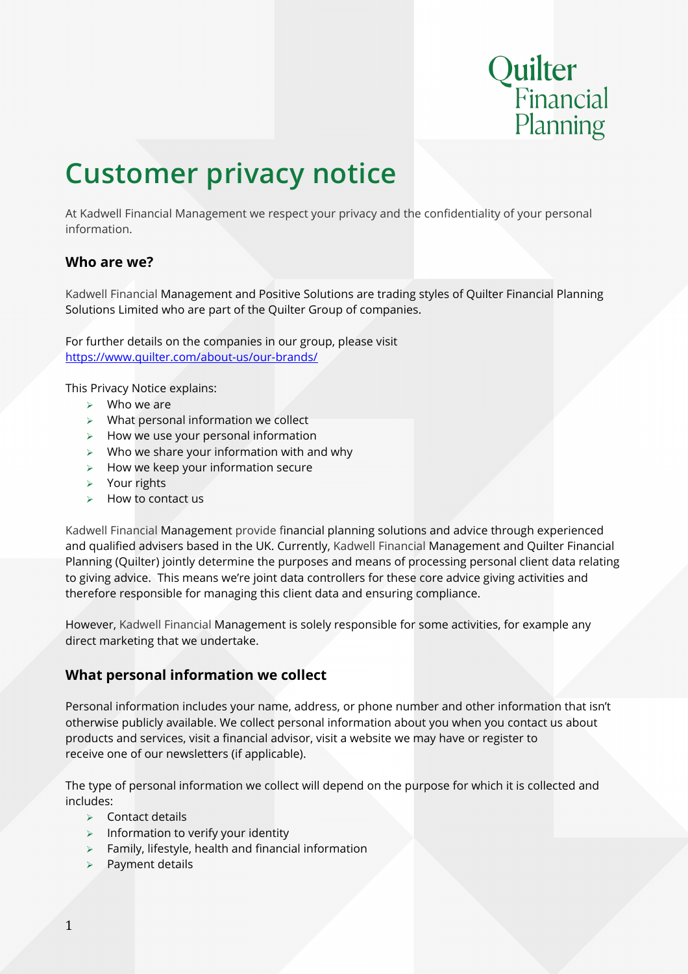Quilter<br>Financial Planning

# **Customer privacy notice**

At Kadwell Financial Management we respect your privacy and the confidentiality of your personal information.

## **Who are we?**

Kadwell Financial Management and Positive Solutions are trading styles of Quilter Financial Planning Solutions Limited who are part of the Quilter Group of companies.

For further details on the companies in our group, please visit <https://www.quilter.com/about-us/our-brands/>

This Privacy Notice explains:

- $\triangleright$  Who we are
- $\triangleright$  What personal information we collect
- $\triangleright$  How we use your personal information
- $\triangleright$  Who we share your information with and why
- $\triangleright$  How we keep your information secure
- $\triangleright$  Your rights
- $\triangleright$  How to contact us

Kadwell Financial Management provide financial planning solutions and advice through experienced and qualified advisers based in the UK. Currently, Kadwell Financial Management and Quilter Financial Planning (Quilter) jointly determine the purposes and means of processing personal client data relating to giving advice. This means we're joint data controllers for these core advice giving activities and therefore responsible for managing this client data and ensuring compliance.

However, Kadwell Financial Management is solely responsible for some activities, for example any direct marketing that we undertake.

## **What personal information we collect**

Personal information includes your name, address, or phone number and other information that isn't otherwise publicly available. We collect personal information about you when you contact us about products and services, visit a financial advisor, visit a website we may have or register to receive one of our newsletters (if applicable).

The type of personal information we collect will depend on the purpose for which it is collected and includes:

- $\triangleright$  Contact details
- $\triangleright$  Information to verify your identity
- $\triangleright$  Family, lifestyle, health and financial information
- $\triangleright$  Payment details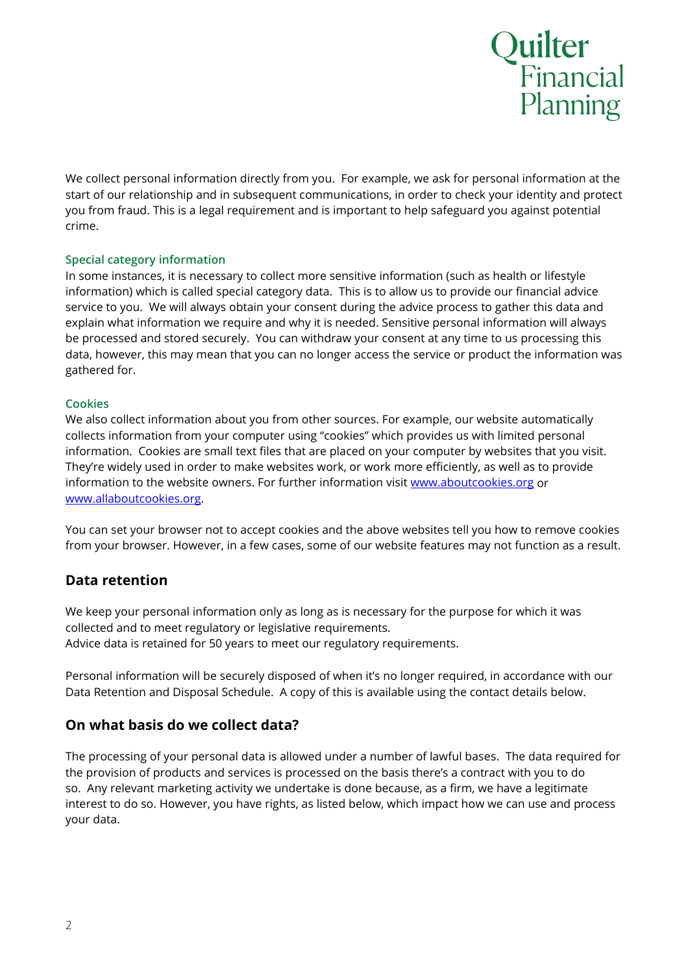

We collect personal information directly from you. For example, we ask for personal information at the start of our relationship and in subsequent communications, in order to check your identity and protect you from fraud. This is a legal requirement and is important to help safeguard you against potential crime.

#### **Special category information**

In some instances, it is necessary to collect more sensitive information (such as health or lifestyle information) which is called special category data. This is to allow us to provide our financial advice service to you. We will always obtain your consent during the advice process to gather this data and explain what information we require and why it is needed. Sensitive personal information will always be processed and stored securely. You can withdraw your consent at any time to us processing this data, however, this may mean that you can no longer access the service or product the information was gathered for.

#### **Cookies**

We also collect information about you from other sources. For example, our website automatically collects information from your computer using "cookies" which provides us with limited personal information. Cookies are small text files that are placed on your computer by websites that you visit. They're widely used in order to make websites work, or work more efficiently, as well as to provide information to the website owners. For further information visit [www.aboutcookies.org](http://www.aboutcookies.org/) or [www.allaboutcookies.org.](http://www.allaboutcookies.org/)

You can set your browser not to accept cookies and the above websites tell you how to remove cookies from your browser. However, in a few cases, some of our website features may not function as a result.

### **Data retention**

We keep your personal information only as long as is necessary for the purpose for which it was collected and to meet regulatory or legislative requirements.

Advice data is retained for 50 years to meet our regulatory requirements.

Personal information will be securely disposed of when it's no longer required, in accordance with our Data Retention and Disposal Schedule. A copy of this is available using the contact details below.

### **On what basis do we collect data?**

The processing of your personal data is allowed under a number of lawful bases. The data required for the provision of products and services is processed on the basis there's a contract with you to do so. Any relevant marketing activity we undertake is done because, as a firm, we have a legitimate interest to do so. However, you have rights, as listed below, which impact how we can use and process your data.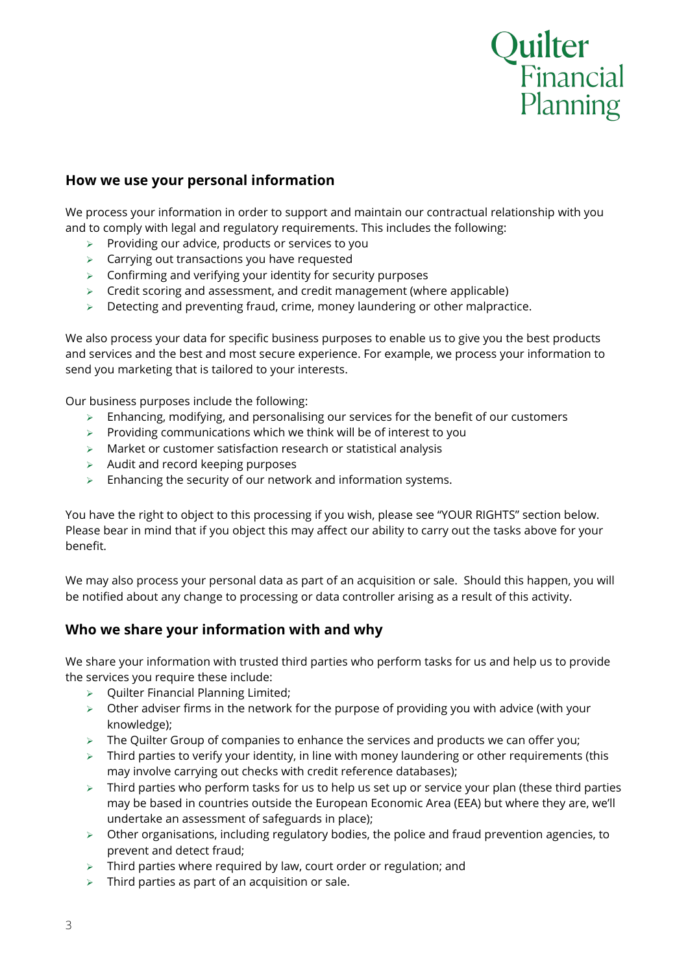

## **How we use your personal information**

We process your information in order to support and maintain our contractual relationship with you and to comply with legal and regulatory requirements. This includes the following:

- $\triangleright$  Providing our advice, products or services to you
- $\triangleright$  Carrying out transactions you have requested
- $\geq$  Confirming and verifying your identity for security purposes
- $\triangleright$  Credit scoring and assessment, and credit management (where applicable)
- $\geq$  Detecting and preventing fraud, crime, money laundering or other malpractice.

We also process your data for specific business purposes to enable us to give you the best products and services and the best and most secure experience. For example, we process your information to send you marketing that is tailored to your interests.

Our business purposes include the following:

- $\triangleright$  Enhancing, modifying, and personalising our services for the benefit of our customers
- $\triangleright$  Providing communications which we think will be of interest to you
- $\triangleright$  Market or customer satisfaction research or statistical analysis
- $\triangleright$  Audit and record keeping purposes
- > Enhancing the security of our network and information systems.

You have the right to object to this processing if you wish, please see "YOUR RIGHTS" section below. Please bear in mind that if you object this may affect our ability to carry out the tasks above for your benefit.

We may also process your personal data as part of an acquisition or sale. Should this happen, you will be notified about any change to processing or data controller arising as a result of this activity.

## **Who we share your information with and why**

We share your information with trusted third parties who perform tasks for us and help us to provide the services you require these include:

- $\triangleright$  Quilter Financial Planning Limited;
- $\triangleright$  Other adviser firms in the network for the purpose of providing you with advice (with your knowledge);
- $\triangleright$  The Quilter Group of companies to enhance the services and products we can offer you;
- $\triangleright$  Third parties to verify your identity, in line with money laundering or other requirements (this may involve carrying out checks with credit reference databases);
- $\triangleright$  Third parties who perform tasks for us to help us set up or service your plan (these third parties may be based in countries outside the European Economic Area (EEA) but where they are, we'll undertake an assessment of safeguards in place);
- $\triangleright$  Other organisations, including regulatory bodies, the police and fraud prevention agencies, to prevent and detect fraud;
- $\triangleright$  Third parties where required by law, court order or regulation; and
- $\triangleright$  Third parties as part of an acquisition or sale.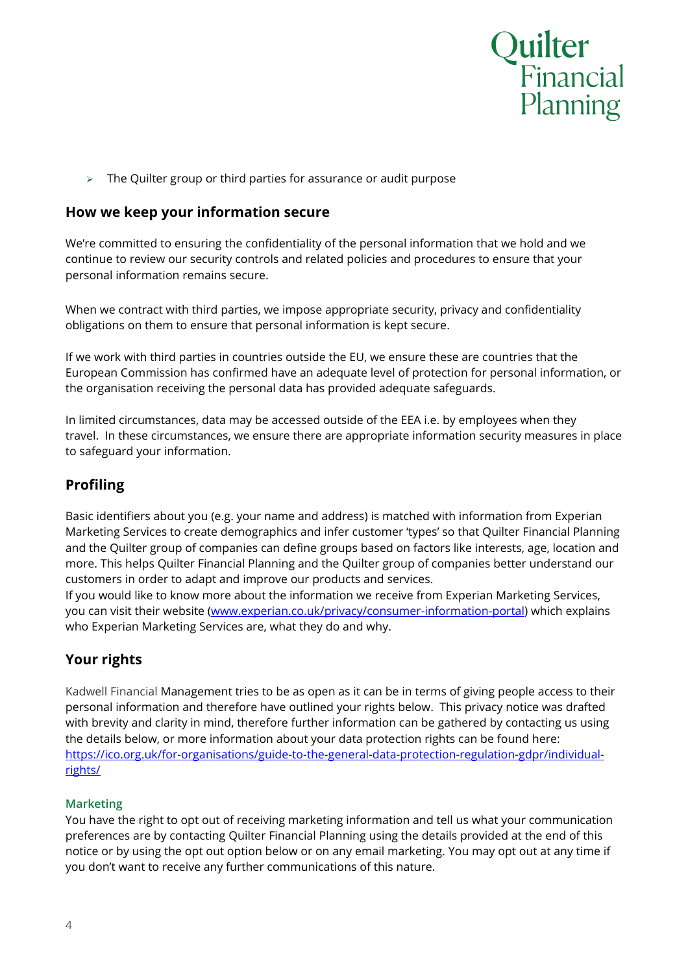

 $\triangleright$  The Quilter group or third parties for assurance or audit purpose

## **How we keep your information secure**

We're committed to ensuring the confidentiality of the personal information that we hold and we continue to review our security controls and related policies and procedures to ensure that your personal information remains secure.

When we contract with third parties, we impose appropriate security, privacy and confidentiality obligations on them to ensure that personal information is kept secure.

If we work with third parties in countries outside the EU, we ensure these are countries that the European Commission has confirmed have an adequate level of protection for personal information, or the organisation receiving the personal data has provided adequate safeguards.

In limited circumstances, data may be accessed outside of the EEA i.e. by employees when they travel. In these circumstances, we ensure there are appropriate information security measures in place to safeguard your information.

## **Profiling**

Basic identifiers about you (e.g. your name and address) is matched with information from Experian Marketing Services to create demographics and infer customer 'types' so that Quilter Financial Planning and the Quilter group of companies can define groups based on factors like interests, age, location and more. This helps Quilter Financial Planning and the Quilter group of companies better understand our customers in order to adapt and improve our products and services.

If you would like to know more about the information we receive from Experian Marketing Services, you can visit their website [\(www.experian.co.uk/privacy/consumer-information-portal\)](https://www.experian.co.uk/privacy/consumer-information-portal) which explains who Experian Marketing Services are, what they do and why.

# **Your rights**

Kadwell Financial Management tries to be as open as it can be in terms of giving people access to their personal information and therefore have outlined your rights below. This privacy notice was drafted with brevity and clarity in mind, therefore further information can be gathered by contacting us using the details below, or more information about your data protection rights can be found here: [https://ico.org.uk/for-organisations/guide-to-the-general-data-protection-regulation-gdpr/individual](https://ico.org.uk/for-organisations/guide-to-the-general-data-protection-regulation-gdpr/individual-rights/)[rights/](https://ico.org.uk/for-organisations/guide-to-the-general-data-protection-regulation-gdpr/individual-rights/)

### **Marketing**

You have the right to opt out of receiving marketing information and tell us what your communication preferences are by contacting Quilter Financial Planning using the details provided at the end of this notice or by using the opt out option below or on any email marketing. You may opt out at any time if you don't want to receive any further communications of this nature.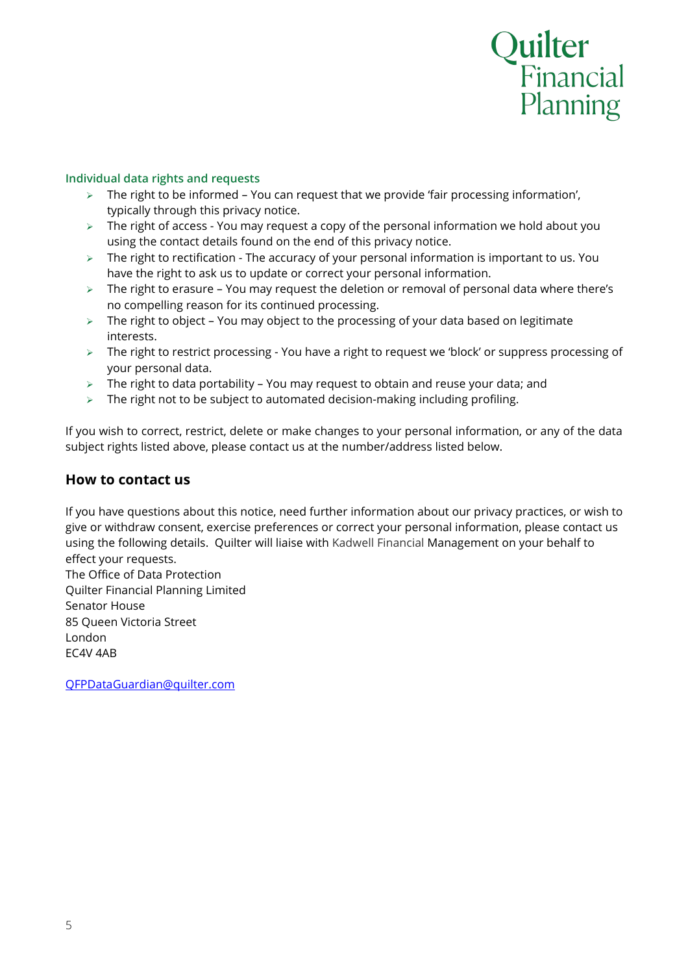# **Quilter** Financial Planning

#### **Individual data rights and requests**

- $\triangleright$  The right to be informed You can request that we provide 'fair processing information', typically through this privacy notice.
- $\triangleright$  The right of access You may request a copy of the personal information we hold about you using the contact details found on the end of this privacy notice.
- $\triangleright$  The right to rectification The accuracy of your personal information is important to us. You have the right to ask us to update or correct your personal information.
- $\triangleright$  The right to erasure You may request the deletion or removal of personal data where there's no compelling reason for its continued processing.
- $\triangleright$  The right to object You may object to the processing of your data based on legitimate interests.
- > The right to restrict processing You have a right to request we 'block' or suppress processing of your personal data.
- $\triangleright$  The right to data portability You may request to obtain and reuse your data; and
- $\triangleright$  The right not to be subject to automated decision-making including profiling.

If you wish to correct, restrict, delete or make changes to your personal information, or any of the data subject rights listed above, please contact us at the number/address listed below.

#### **How to contact us**

If you have questions about this notice, need further information about our privacy practices, or wish to give or withdraw consent, exercise preferences or correct your personal information, please contact us using the following details. Quilter will liaise with Kadwell Financial Management on your behalf to effect your requests.

The Office of Data Protection Quilter Financial Planning Limited Senator House 85 Queen Victoria Street London EC4V 4AB

[QFPDataGuardian@quilter.com](mailto:QFPDataGuardian@quilter.com)